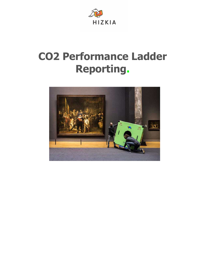

# **CO2 Performance Ladder Reporting.**

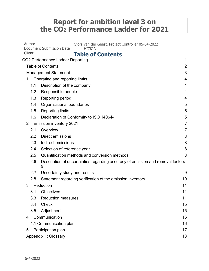# **Report for ambition level 3 on the CO2 Performance Ladder for 2021**

| Author | Sjors van der Geest, Project Controller 05-04-2022<br>Document Submission Date       |                |  |  |  |  |
|--------|--------------------------------------------------------------------------------------|----------------|--|--|--|--|
| Client | <b>HIZKIA</b><br><b>Table of Contents</b>                                            |                |  |  |  |  |
|        | CO2 Performance Ladder Reporting.                                                    | 1              |  |  |  |  |
|        | <b>Table of Contents</b>                                                             | $\overline{2}$ |  |  |  |  |
|        | <b>Management Statement</b>                                                          | 3              |  |  |  |  |
| 1.     | Operating and reporting limits                                                       | 4              |  |  |  |  |
| 1.1    | Description of the company                                                           | 4              |  |  |  |  |
| 1.2    | Responsible people                                                                   | 4              |  |  |  |  |
| 1.3    | Reporting period                                                                     | 4              |  |  |  |  |
| 1.4    | Organisational boundaries                                                            | 5              |  |  |  |  |
| 1.5    | <b>Reporting limits</b>                                                              | 5              |  |  |  |  |
| 1.6    | Declaration of Conformity to ISO 14064-1                                             | 5              |  |  |  |  |
| 2.     | <b>Emission inventory 2021</b>                                                       | $\overline{7}$ |  |  |  |  |
| 2.1    | Overview                                                                             | 7              |  |  |  |  |
| 2.2    | Direct emissions                                                                     | 8              |  |  |  |  |
| 2.3    | Indirect emissions                                                                   | 8              |  |  |  |  |
| 2.4    | Selection of reference year                                                          |                |  |  |  |  |
| 2.5    | Quantification methods and conversion methods                                        | 8              |  |  |  |  |
| 2.6    | Description of uncertainties regarding accuracy of emission and removal factors<br>9 |                |  |  |  |  |
| 2.7    | Uncertainty study and results                                                        | 9              |  |  |  |  |
| 2.8    | Statement regarding verification of the emission inventory                           | 10             |  |  |  |  |
|        | 3. Reduction                                                                         | 11             |  |  |  |  |
| 3.1    | Objectives                                                                           | 11             |  |  |  |  |
| 3.3    | <b>Reduction measures</b>                                                            | 11             |  |  |  |  |
| 3.4    | <b>Check</b>                                                                         | 15             |  |  |  |  |
| 3.5    | Adjustment                                                                           | 15             |  |  |  |  |
|        | 4. Communication                                                                     | 16             |  |  |  |  |
|        | 4.1 Communication plan                                                               | 16             |  |  |  |  |
| 5.     | Participation plan                                                                   | 17             |  |  |  |  |
|        | Appendix 1: Glossary                                                                 | 18             |  |  |  |  |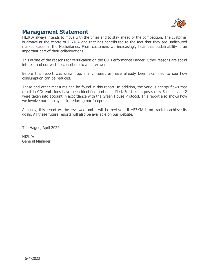

# **Management Statement**

HIZKIA always intends to move with the times and to stay ahead of the competition. The customer is always at the centre of HIZKIA and that has contributed to the fact that they are undisputed market leader in the Netherlands. From customers we increasingly hear that sustainability is an important part of their collaborations.

This is one of the reasons for certification on the CO2 Performance Ladder. Other reasons are social interest and our wish to contribute to a better world.

Before this report was drawn up, many measures have already been examined to see how consumption can be reduced.

These and other measures can be found in this report. In addition, the various energy flows that result in CO<sub>2</sub> emissions have been identified and quantified. For this purpose, only Scope 1 and 2 were taken into account in accordance with the Green House Protocol. This report also shows how we involve our employees in reducing our footprint.

Annually, this report will be reviewed and it will be reviewed if HEZKIA is on track to achieve its goals. All these future reports will also be available on our website.

The Hague, April 2022

HIZKIA General Manager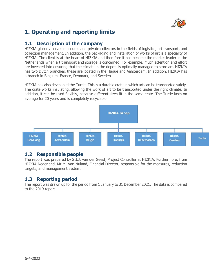

# **1. Operating and reporting limits**

## **1.1 Description of the company**

HIZKIA globally serves museums and private collectors in the fields of logistics, art transport, and collection management. In addition, the packaging and installation of works of art is a speciality of HIZKIA. The client is at the heart of HIZKIA and therefore it has become the market leader in the Netherlands when art transport and storage is concerned. For example, much attention and effort are invested into ensuring that the climate in the depots is optimally managed to store art. HIZKIA has two Dutch branches, these are located in the Hague and Amsterdam. In addition, HIZKIA has a branch in Belgium, France, Denmark, and Sweden.

HIZKIA has also developed the Turtle. This is a durable crate in which art can be transported safely. The crate works insulating, allowing the work of art to be transported under the right climate. In addition, it can be used flexibly, because different sizes fit in the same crate. The Turtle lasts on average for 20 years and is completely recyclable.



## **1.2 Responsible people**

The report was prepared by S.J.J. van der Geest, Project Controller at HIZKIA. Furthermore, from HIZKIA Nederland, Mr M. Van Nuland, Financial Director, responsible for the measures, reduction targets, and management system.

## **1.3 Reporting period**

The report was drawn up for the period from 1 January to 31 December 2021. The data is compared to the 2019 report.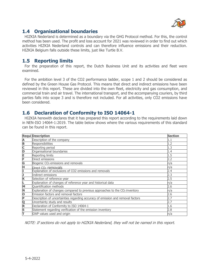

## **1.4 Organisational boundaries**

HIZKIA Nederland is determined as a boundary via the GHG Protocol method. For this, the control method has been used. The profit and loss account for 2021 was reviewed in order to find out which activities HIZKIA Nederland controls and can therefore influence emissions and their reduction. HIZKIA Belgium falls outside these limits, just like Turtle B.V.

#### **1.5 Reporting limits**

For the preparation of this report, the Dutch Business Unit and its activities and fleet were examined.

For the ambition level 3 of the CO2 performance ladder, scope 1 and 2 should be considered as defined by the Green House Gas Protocol. This means that direct and indirect emissions have been reviewed in this report. These are divided into the own fleet, electricity and gas consumption, and commercial train and air travel. The international transport, and the accompanying couriers, by third parties falls into scope 3 and is therefore not included. For all activities, only CO2 emissions have been considered.

#### **1.6 Declaration of Conformity to ISO 14064-1**

HIZKIA herewith declares that it has prepared this report according to the requirements laid down in NEN-ISO 14064-1:2019. The table below shows where the various requirements of this standard can be found in this report.

|                         | <b>Requi Description</b>                                                        | <b>Section</b> |
|-------------------------|---------------------------------------------------------------------------------|----------------|
|                         | Description of the company                                                      |                |
| B                       | Responsibilities                                                                |                |
| $\mathsf{C}$            | Reporting period                                                                | 1.3            |
| D                       | Organisational boundaries                                                       | 1.4            |
| E                       | Reporting limits                                                                | 1.5            |
| F                       | Direct emissions                                                                | 2.2            |
| G                       | Biogenic CO <sub>2</sub> emissions and removals                                 | n/a            |
| н                       | Direct CO <sub>2</sub> removals                                                 | n/a            |
|                         | Explanation of exclusions of CO2 emissions and removals                         | 2.4            |
|                         | Indirect emissions                                                              | 2.3            |
|                         | Selection of reference year                                                     | 2.5            |
|                         | Explanation of changes of reference year and historical data                    | n/a            |
| M                       | <b>Quantification methods</b>                                                   | 2.6            |
|                         | Explanation of changes compared to previous approaches to the CO2 inventory     | n/a            |
| $\mathbf{o}$            | Emission factors and removal factors                                            | 2.6            |
| P                       | Description of uncertainties regarding accuracy of emission and removal factors | 2.7            |
| Q                       | Uncertainty study and results                                                   | 2.7            |
| $\overline{\mathsf{R}}$ | Declaration of Conformity to ISO 14064-1                                        | 1.6            |
| S                       | Statement regarding verification of the emission inventory                      | 2.8            |
|                         | GWP values used and origin                                                      | n/a            |

NOTE: If sections do not apply to HIZKIA Nederland, they will not be named in this report.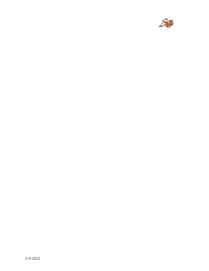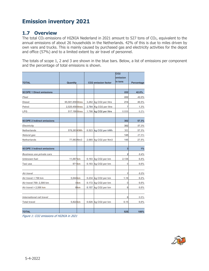# **Emission inventory 2021**

#### **1.7 Overview**

The total CO<sub>2</sub> emissions of HIZKIA Nederland in 2021 amount to 527 tons of CO<sub>2</sub>, equivalent to the annual emissions of about 26 households in the Netherlands. 42% of this is due to miles driven by own vans and trucks. This is mainly caused by purchased gas and electricity activities for the depot and office (57%) and to a limited extent by air travel of personnel.

The totals of scope 1, 2 and 3 are shown in the blue bars. Below, a list of emissions per component and the percentage of total emissions is shown.

|                                   |                      |                 |  |                            | CO <sub>2</sub>     |            |
|-----------------------------------|----------------------|-----------------|--|----------------------------|---------------------|------------|
|                                   |                      |                 |  |                            | emission<br>in tons |            |
| <b>TOTAL</b>                      | Quantity             |                 |  | <b>CO2</b> emission factor |                     | Percentage |
|                                   |                      |                 |  |                            | 222                 |            |
| <b>SCOPE 1 Direct emissions</b>   |                      |                 |  |                            |                     | 42.0%      |
| Fleet                             |                      |                 |  |                            | 222                 | 42.0%      |
| <b>Diesel</b>                     | 65,581.850 litres    |                 |  | 3,262 kg CO2 per litre     | 214                 | 40.5%      |
| Petrol                            | 2,525.450 litres     |                 |  | 2.784 Kg CO2 per litre     | 7                   | 1.3%       |
| <b>LPG</b>                        | 517.190 litres       |                 |  | 1.798 kg CO2 per litre     | 0.930               | 0.2%       |
| <b>SCOPE 2 Indirect emissions</b> |                      |                 |  |                            | 302                 | 57.3%      |
| <b>Electricity</b>                |                      |                 |  |                            | 302                 | 57.3%      |
| Netherlands                       | 578,283 KWh          |                 |  | 0.523 kg CO2 per kWh       | 302                 | 57.3%      |
| <b>Natural</b> gas                |                      |                 |  |                            | 145                 | 27.5%      |
| <b>Netherlands</b>                | 77,063 Nm3           |                 |  | 2.085 kg CO2 per Nm3       | 145                 | 27.5%      |
|                                   |                      |                 |  |                            |                     |            |
| <b>SCOPE 3 Indirect emissions</b> |                      |                 |  |                            | 3                   | 1%         |
| <b>Business use private cars</b>  |                      |                 |  |                            | $\overline{2}$      | 0.4%       |
| Unknown fuel                      | 11,067 <sub>km</sub> |                 |  | 0.193 kg CO2 per km        | 2.136               | 0.4%       |
| Taxi use                          | 971 <sub>km</sub>    |                 |  | 0.193 kg CO2 per km        | 0                   | 0.0%       |
|                                   |                      |                 |  |                            |                     |            |
| Air travel                        |                      |                 |  |                            | 1                   | 0.2%       |
| Air travel < 700 km               | 5,044 km             |                 |  | 0.234 kg CO2 per km        | 1.18                | 0.2%       |
| Air travel 700- 2,500 km          |                      | 0 <sub>km</sub> |  | 0.172 kg CO2 per km        | 0                   | $0.0\%$    |
| Air travel $> 2,500$ km           |                      | 0 <sub>km</sub> |  | 0.157 kg CO2 per km        | 0                   | $0.0\%$    |
| <b>International rail travel</b>  |                      |                 |  |                            | 0                   | $0.0\%$    |
| <b>Total travel</b>               | 5,822 km             |                 |  | 0.026 kg CO2 per km        | 0.15                | $0.0\%$    |
|                                   |                      |                 |  |                            |                     |            |
| <b>TOTAL</b>                      |                      |                 |  |                            | <b>52S</b>          | 100%       |

Figure 1: CO2 emissions of HIZKIA in 2021

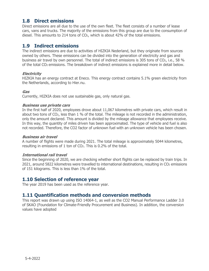#### **1.8 Direct emissions**

Direct emissions are all due to the use of the own fleet. The fleet consists of a number of lease cars, vans and trucks. The majority of the emissions from this group are due to the consumption of diesel. This amounts to 214 tons of CO2, which is about 42% of the total emissions.

#### **1.9 Indirect emissions**

The indirect emissions are due to activities of HIZKIA Nederland, but they originate from sources owned by others. These emissions can be divided into the generation of electricity and gas and business air travel by own personnel. The total of indirect emissions is 305 tons of CO2, i.e., 58 % of the total CO2 emissions. The breakdown of indirect emissions is explained more in detail below.

#### **Electricity**

HIZKIA has an energy contract at Eneco. This energy contract contains 5.1% green electricity from the Netherlands, according to Hier.nu.

#### **Gas**

Currently, HIZKIA does not use sustainable gas, only natural gas.

#### **Business use private cars**

In the first half of 2020, employees drove about 11,067 kilometres with private cars, which result in about two tons of CO2, less than 1 % of the total. The mileage is not recorded in the administration, only the amount declared. This amount is divided by the mileage allowance that employees receive. In this way, the quantity of miles driven has been approximated. The type of vehicle and fuel is also not recorded. Therefore, the CO2 factor of unknown fuel with an unknown vehicle has been chosen.

#### **Business air travel**

A number of flights were made during 2021. The total mileage is approximately 5044 kilometres, resulting in emissions of 1 ton of CO2. This is 0.2% of the total.

#### **International rail travel**

Since the beginning of 2020, we are checking whether short flights can be replaced by train trips. In 2021, around 5822 kilometres were travelled to international destinations, resulting in CO2 emissions of 151 kilograms. This is less than 1% of the total.

#### **1.10 Selection of reference year**

The year 2019 has been used as the reference year.

#### **1.11 Quantification methods and conversion methods**

This report was drawn up using ISO 14064-1, as well as the CO2 Manual Performance Ladder 3.0 of SKAO (Foundation for Climate-Friendly Procurement and Business). In addition, the conversion values have adopted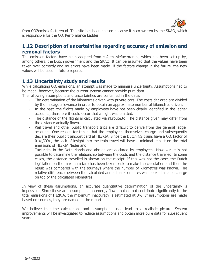

from CO2emissiefactoren.nl. This site has been chosen because it is co-written by the SKAO, which is responsible for the CO2 Performance Ladder.

#### **1.12 Description of uncertainties regarding accuracy of emission and removal factors**

The emission factors have been adopted from co2emissiefactoren.nl, which has been set up by, among others, the Dutch government and the SKAO. It can be assumed that the values have been taken over correctly and no errors have been made. If the factors change in the future, the new values will be used in future reports.

#### **1.13 Uncertainty study and results**

While calculating CO<sub>2</sub> emissions, an attempt was made to minimise uncertainty. Assumptions had to be made, however, because the current system cannot provide pure data.

The following assumptions and uncertainties are contained in the data:

- The determination of the kilometres driven with private cars. The costs declared are divided by the mileage allowance in order to obtain an approximate number of kilometres driven.
- In the past, the flights made by employees have not been clearly identified in the ledger accounts, therefore it could occur that a flight was omitted.
- The distance of the flights is calculated via nl.route.to. The distance given may differ from the distance actually flown.
- Rail travel and other public transport trips are difficult to derive from the general ledger accounts. One reason for this is that the employees themselves charge and subsequently declare their public transport card at HIZKIA. Since the Dutch NS trains have a CO2 factor of 0 kg/CO2 , the lack of insight into the train travel will have a minimal impact on the total emissions of HIZKIA Nederland.
- Taxi rides in the Netherlands and abroad are declared by employees. However, it is not possible to determine the relationship between the costs and the distance travelled. In some cases, the distance travelled is shown on the receipt. If this was not the case, the Dutch legislation on the maximum fare has been taken back to make the calculation and then the result was compared with the journeys where the number of kilometres was known. The relative difference between the calculated and actual kilometres was booked as a surcharge on top of the calculated kilometres.

In view of these assumptions, an accurate quantitative determination of the uncertainty is impossible. Since these are assumptions on energy flows that do not contribute significantly to the total emissions of HIZKIA, the maximum inaccuracy is estimated at 3%. If assumptions are made based on sources, they are named in the report.

We believe that the calculations and assumptions used lead to a realistic picture. System improvements will be investigated to reduce assumptions and obtain more pure data for subsequent years.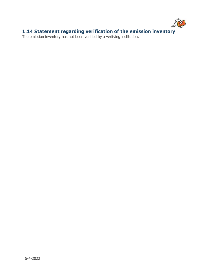

## **1.14 Statement regarding verification of the emission inventory**

The emission inventory has not been verified by a verifying institution.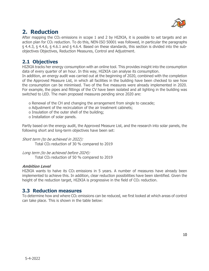

# **2. Reduction**

After mapping the CO<sub>2</sub> emissions in scope 1 and 2 by HIZKIA, it is possible to set targets and an action plan for CO2 reduction. To do this, NEN-ISO 50001 was followed, in particular the paragraphs § 4.4.3, § 4.4.6, § 4.6.1 and § 4.6.4. Based on these standards, this section is divided into the subobjectives Objectives, Reduction Measures, Control and Adjustment.

## **2.1 Objectives**

HIZKIA tracks her energy consumption with an online tool. This provides insight into the consumption data of every quarter of an hour. In this way, HIZKIA can analyse its consumption.

In addition, an energy audit was carried out at the beginning of 2020, combined with the completion of the Approved Measure List, in which all facilities in the building have been checked to see how the consumption can be minimised. Two of the five measures were already implemented in 2020. For example, the pipes and fittings of the CV have been isolated and all lighting in the building was switched to LED. The main proposed measures pending since 2020 are:

- o Renewal of the CH and changing the arrangement from single to cascade;
- o Adjustment of the recirculation of the air treatment cabinets;
- o Insulation of the outer shell of the building;
- o Installation of solar panels.

Partly based on the energy audit, the Approved Measure List, and the research into solar panels, the following short and long-term objectives have been set:

Short term (to be achieved in 2022): Total CO2 reduction of 30 % compared to 2019

Long term (to be achieved before 2024): Total CO2 reduction of 50 % compared to 2019

#### **Ambition Level**

HIZKIA wants to halve its CO<sub>2</sub> emissions in 5 years. A number of measures have already been implemented to achieve this. In addition, clear reduction possibilities have been identified. Given the height of the reduction target, HIZKIA is progressive in the field of CO<sub>2</sub> reduction.

#### **3.3 Reduction measures**

To determine how and where CO<sub>2</sub> emissions can be reduced, we first looked at which areas of control can take place. This is shown in the table below: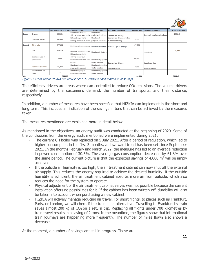|         |                            | C02 emissions 2019 (kg) Efficiency driver |                           | <b>Volume driver</b> | <b>Short-term measures</b> | Savings (kg) | <b>Long-term measures</b>     | <b>Total savings (kg)</b> |
|---------|----------------------------|-------------------------------------------|---------------------------|----------------------|----------------------------|--------------|-------------------------------|---------------------------|
| Scope 1 | Trucks                     | 182,594                                   | Kilometres, weight,       | Number of            |                            |              |                               |                           |
|         |                            |                                           | driving behaviour, route  | projects, location   | <b>Economical driving</b>  |              | Research on alternative fuels | 165,248                   |
|         |                            |                                           | Kilometres, weight,       | Number of            | Economical driving, switch |              |                               |                           |
|         | Cars and buses             | 117,085                                   | driving behaviour, route  | projects, location   | to electric driving        | 6,000        |                               |                           |
| Scope 2 | Electricity                | 277,282                                   |                           |                      |                            | 277,000      |                               |                           |
|         |                            |                                           | Lighting, climate control | Number of visitors   | Purchase green energy      |              |                               |                           |
|         | Gas                        | 102,736                                   | Heating, climate control  | Number of visitors   |                            |              | Insulation                    | 38,000                    |
|         |                            |                                           | Kilometres, weight,       |                      |                            |              |                               |                           |
|         | <b>Business use of</b>     |                                           | driving behaviour,        |                      |                            |              |                               |                           |
|         | private car                | 2,856                                     | means of transport, fuel, | Number of physical   |                            | < 1,000      |                               |                           |
|         |                            |                                           | digital                   | visits, location     | <b>Economical driving</b>  |              | Electric driving              |                           |
|         | <b>Business air travel</b> |                                           | Number of people,         | Number of physical   |                            |              |                               |                           |
|         |                            | 32,030                                    | means of transport,       | visits, location     | Use alternative            | 2,000        | Use alternative               |                           |
|         | International rail         |                                           | Number of people,         | Number of physical   |                            |              |                               |                           |
|         | travel                     | $\mathbf{0}$                              | means of transport,       | visits, location     |                            |              |                               |                           |
| .       |                            | 74.500                                    |                           |                      |                            | 0000000      |                               | 0.000010                  |

**digital Total 714,583 285,000 203,248** Figure 2: Areas where HIZKIA can reduce her CO2 emissions and indication of savings

The efficiency drivers are areas where can controlled to reduce CO<sub>2</sub> emissions. The volume drivers are determined by the customer's demand, the number of transports, and their distance, respectively.

In addition, a number of measures have been specified that HIZKIA can implement in the short and long term. This includes an indication of the savings in tons that can be achieved by the measures taken.

The measures mentioned are explained more in detail below.

As mentioned in the objectives, an energy audit was conducted at the beginning of 2020. Some of the conclusions from the energy audit mentioned were implemented during 2021:

- The current CH boiler was replaced on 5 July 2021. After a period of regulation, which led to higher consumption in the first 3 months, a downward trend has been set since September 2021. In the months February and March 2022, the measure has led to an average reduction in power consumption of 30.5%. The average gas consumption decreased by 61.8% over the same period. The current picture is that the expected savings of 4,000  $\text{m}^3$  will be amply achieved.
- If the outside air humidity is too high, the air treatment cabinet can now shut off the external air supply. This reduces the energy required to achieve the desired humidity. If the outside humidity is sufficient, the air treatment cabinet absorbs more air from outside, which also reduces the need for the system to operate.
- Physical adjustment of the air treatment cabinet valves was not possible because the current installation offers no possibilities for it. If the cabinet has been written-off, durability will also be taken into account when purchasing a new cabinet.
- HIZKIA will actively manage reducing air travel. For short flights, to places such as Frankfurt, Paris, or London, we will check if the train is an alternative. Travelling to Frankfurt by train saves almost 200 kg of CO<sub>2</sub> on a return trip. Replacing all flights under 700 kilometres by train travel results in a saving of 2 tons. In the meantime, the figures show that international train journeys are happening more frequently. The number of miles flown also shows a decrease.

At the moment, a number of savings are still in progress. These are:

 $\overline{\phantom{a}}$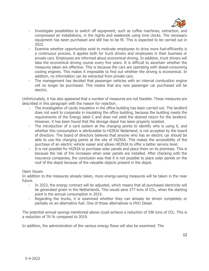

- Investigate possibilities to switch off equipment, such as coffee machines, extraction, and compressed air installations, in the nights and weekends using time clocks. The necessary equipment has been purchased and still has to be fit. This is expected to be carried out in 2022.
- Examine whether opportunities exist to motivate employees to drive more fuel-efficiently is a continuous process, it applies both for truck drivers and employees in their business or private cars. Employees are informed about economical driving. In addition, truck drivers will take the economical driving course every five years. It is difficult to ascertain whether the measures taken are effective. This is because the cars are operating with diesel-consuming cooling engines. This makes it impossible to find out whether the driving is economical. In addition, no information can be extracted from private cars.
- The management has decided that passenger vehicles with an internal combustion engine will no longer be purchased. This means that any new passenger car purchased will be electric.

Unfortunately, it has also appeared that a number of measures are not feasible. These measures are described in this paragraph with the reason for rejection.

- The investigation of cavity insulation in the office building has been carried out. The landlord does not want to cooperate in insulating the office building, because the building meets the requirements of the Energy label C and does not yield the desired return for the landlord. However, it has been found that the storage depot has been properly isolated.
- The introduction of a card system at the charging points to identify who is using it, and whether this consumption is attributable to HIZKIA Nederland, is not accepted by the board of directors. The board of directors believes that anyone who has an electric car should be able to use the charging points at the site of HIZKIA. This makes the accessibility of the purchase of an electric vehicle easier and allows HEZKIA to offer a better service level.
- It is not possible for HIZKIA to purchase solar panels and place them on its premises. This is because the risk of fire increases when solar panels are installed. After checking with the insurance companies, the conclusion was that it is not possible to place solar panels on the roof of the depot because of the valuable objects present in the depot.

#### Open Issues

In addition to the measures already taken, more energy-saving measures will be taken in the near future.

- In 2023, the energy contract will be adjusted, which means that all purchased electricity will be generated green in the Netherlands. This would save 277 tons of  $CO<sub>2</sub>$ , when the starting point is the annual consumption in 2019.
- Regarding the trucks, it is examined whether they can already be driven completely or partially on an alternative fuel. One of those alternatives is HVO Diesel.

The potential annual savings mentioned above could achieve a reduction of 596 tons of CO2. This is a reduction of 76 % compared to 2019.

In addition, the administration of the various energy flows will also be examined. The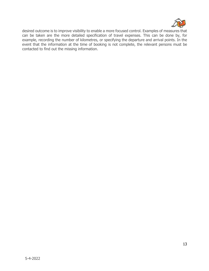

desired outcome is to improve visibility to enable a more focused control. Examples of measures that can be taken are the more detailed specification of travel expenses. This can be done by, for example, recording the number of kilometres, or specifying the departure and arrival points. In the event that the information at the time of booking is not complete, the relevant persons must be contacted to find out the missing information.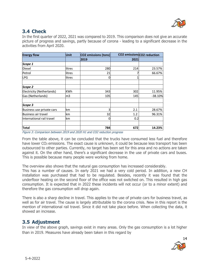

## **3.4 Check**

In the first quarter of 2022, 2021 was compared to 2019. This comparison does not give an accurate picture of progress and savings, partly because of corona - leading to a significant decrease in the activities from April 2020.

| <b>Energy flow</b>        | <b>Unit</b> | CO2 emissions (tons) | CO2 emissions CO2 reduction |           |  |
|---------------------------|-------------|----------------------|-----------------------------|-----------|--|
|                           |             | 2019                 | 2021                        |           |  |
| Scope 1                   |             |                      |                             |           |  |
| <b>Diesel</b>             | litres      | 280                  | 214                         | 23.57%    |  |
| Petrol                    | llitres     | 21                   |                             | 66.67%    |  |
| LPG                       | litres      | 0                    |                             |           |  |
| Scope 2                   |             |                      |                             |           |  |
| Electricity (Netherlands) | <b>KWh</b>  | 343                  | 302                         | 11.95%    |  |
| Gas (Netherlands)         | m3          | 105                  | 145                         | $-38.10%$ |  |
| Scope 3                   |             |                      |                             |           |  |
| Business use private cars | km          | 3                    | 2.1                         | 28.67%    |  |
| Business air travel       | km.         | 32                   | 1.2                         | 96.31%    |  |
| International rail travel | km          | 0                    | 0.2                         |           |  |
| <b>Total</b>              |             | 784                  | 672                         | 14.23%    |  |

Figure 3: Comparison between 2019 and 2020 H1 and CO2 reduction progress

From the table above, it can be concluded that the trucks have consumed less fuel and therefore have lower CO<sub>2</sub> emissions. The exact cause is unknown, it could be because less transport has been outsourced to other parties. Currently, no target has been set for this area and no actions are taken against it. On the other hand, there's a significant decrease in the use of private cars and buses. This is possible because many people were working from home.

The overview also shows that the natural gas consumption has increased considerably.

This has a number of causes. In early 2021 we had a very cold period. In addition, a new CH installation was purchased that had to be regulated. Besides, recently it was found that the underfloor heating on the second floor of the office was not switched on. This resulted in high gas consumption. It is expected that in 2022 these incidents will not occur (or to a minor extent) and therefore the gas consumption will drop again.

There is also a sharp decline in travel. This applies to the use of private cars for business travel, as well as for air travel. The cause is largely attributable to the corona crisis. New in this report is the mention of international rail travel. Since it did not take place before. When collecting the data, it showed an increase.

## **3.5 Adjustment**

In view of the above graph, savings exist in many areas. Only the gas consumption is a lot higher than in 2019. Measures have already been taken in this regard by

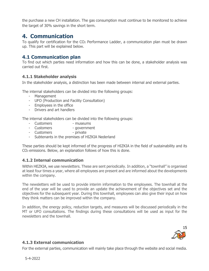the purchase a new CH installation. The gas consumption must continue to be monitored to achieve the target of 30% savings in the short term.

## **4. Communication**

To qualify for certification for the CO2 Performance Ladder, a communication plan must be drawn up. This part will be explained below.

#### **4.1 Communication plan**

To find out which parties need information and how this can be done, a stakeholder analysis was carried out first.

#### **4.1.1 Stakeholder analysis**

In the stakeholder analysis, a distinction has been made between internal and external parties.

The internal stakeholders can be divided into the following groups:

- Management
- UFO (Production and Facility Consultation)
- Employees in the office
- Drivers and art handlers

The internal stakeholders can be divided into the following groups:

- Customers museums
- Customers government
- Customers private
- Subtenants in the premises of HIZKIA Nederland

These parties should be kept informed of the progress of HIZKIA in the field of sustainability and its CO2 emissions. Below, an explanation follows of how this is done.

#### **4.1.2 Internal communication**

Within HEZKIA, we use newsletters. These are sent periodically. In addition, a "townhall" is organised at least four times a year, where all employees are present and are informed about the developments within the company.

The newsletters will be used to provide interim information to the employees. The townhall at the end of the year will be used to provide an update the achievement of the objectives set and the objectives for the subsequent year. During this townhall, employees can also give their input on how they think matters can be improved within the company.

In addition, the energy policy, reduction targets, and measures will be discussed periodically in the MT or UFO consultations. The findings during these consultations will be used as input for the newsletters and the townhall.



#### **4.1.3 External communication**

For the external parties, communication will mainly take place through the website and social media.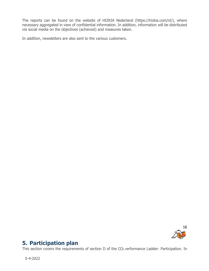The reports can be found on the website of HIZKIA Nederland (https://hizkia.com/nl/), where necessary aggregated in view of confidential information. In addition, information will be distributed via social media on the objectives (achieved) and measures taken.

In addition, newsletters are also sent to the various customers.



# **5. Participation plan**

This section covers the requirements of section D of the CO<sub>2</sub> Performance Ladder: Participation. In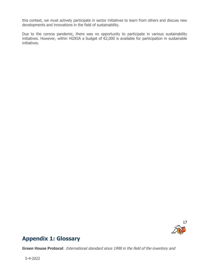this context, we must actively participate in sector initiatives to learn from others and discuss new developments and innovations in the field of sustainability.

Due to the corona pandemic, there was no opportunity to participate in various sustainability initiatives. However, within HIZKIA a budget of €2,000 is available for participation in sustainable initiatives.



# **Appendix 1: Glossary**

**Green House Protocol**: International standard since 1998 in the field of the inventory and

5-4-2022